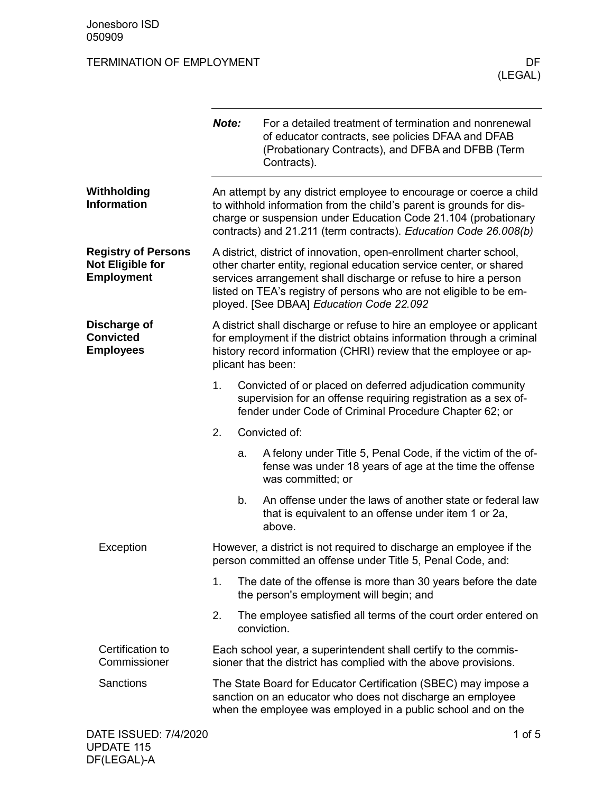|                                                                            | Note:                                                                                                                                                                                                                                                                                                                          |    | For a detailed treatment of termination and nonrenewal<br>of educator contracts, see policies DFAA and DFAB<br>(Probationary Contracts), and DFBA and DFBB (Term<br>Contracts).                                                                                                 |  |
|----------------------------------------------------------------------------|--------------------------------------------------------------------------------------------------------------------------------------------------------------------------------------------------------------------------------------------------------------------------------------------------------------------------------|----|---------------------------------------------------------------------------------------------------------------------------------------------------------------------------------------------------------------------------------------------------------------------------------|--|
| Withholding<br><b>Information</b>                                          |                                                                                                                                                                                                                                                                                                                                |    | An attempt by any district employee to encourage or coerce a child<br>to withhold information from the child's parent is grounds for dis-<br>charge or suspension under Education Code 21.104 (probationary<br>contracts) and 21.211 (term contracts). Education Code 26.008(b) |  |
| <b>Registry of Persons</b><br><b>Not Eligible for</b><br><b>Employment</b> | A district, district of innovation, open-enrollment charter school,<br>other charter entity, regional education service center, or shared<br>services arrangement shall discharge or refuse to hire a person<br>listed on TEA's registry of persons who are not eligible to be em-<br>ployed. [See DBAA] Education Code 22.092 |    |                                                                                                                                                                                                                                                                                 |  |
| Discharge of<br><b>Convicted</b><br><b>Employees</b>                       | A district shall discharge or refuse to hire an employee or applicant<br>for employment if the district obtains information through a criminal<br>history record information (CHRI) review that the employee or ap-<br>plicant has been:                                                                                       |    |                                                                                                                                                                                                                                                                                 |  |
|                                                                            | 1.                                                                                                                                                                                                                                                                                                                             |    | Convicted of or placed on deferred adjudication community<br>supervision for an offense requiring registration as a sex of-<br>fender under Code of Criminal Procedure Chapter 62; or                                                                                           |  |
|                                                                            | 2.                                                                                                                                                                                                                                                                                                                             |    | Convicted of:                                                                                                                                                                                                                                                                   |  |
|                                                                            |                                                                                                                                                                                                                                                                                                                                | a. | A felony under Title 5, Penal Code, if the victim of the of-<br>fense was under 18 years of age at the time the offense<br>was committed; or                                                                                                                                    |  |
|                                                                            |                                                                                                                                                                                                                                                                                                                                | b. | An offense under the laws of another state or federal law<br>that is equivalent to an offense under item 1 or 2a,<br>above.                                                                                                                                                     |  |
| Exception                                                                  | However, a district is not required to discharge an employee if the<br>person committed an offense under Title 5, Penal Code, and:                                                                                                                                                                                             |    |                                                                                                                                                                                                                                                                                 |  |
|                                                                            | 1.                                                                                                                                                                                                                                                                                                                             |    | The date of the offense is more than 30 years before the date<br>the person's employment will begin; and                                                                                                                                                                        |  |
|                                                                            | 2.                                                                                                                                                                                                                                                                                                                             |    | The employee satisfied all terms of the court order entered on<br>conviction.                                                                                                                                                                                                   |  |
| Certification to<br>Commissioner                                           | Each school year, a superintendent shall certify to the commis-<br>sioner that the district has complied with the above provisions.                                                                                                                                                                                            |    |                                                                                                                                                                                                                                                                                 |  |
| Sanctions                                                                  |                                                                                                                                                                                                                                                                                                                                |    | The State Board for Educator Certification (SBEC) may impose a<br>sanction on an educator who does not discharge an employee<br>when the employee was employed in a public school and on the                                                                                    |  |
| DATE ISSUED: 7/4/2020                                                      |                                                                                                                                                                                                                                                                                                                                |    | 1 of $5$                                                                                                                                                                                                                                                                        |  |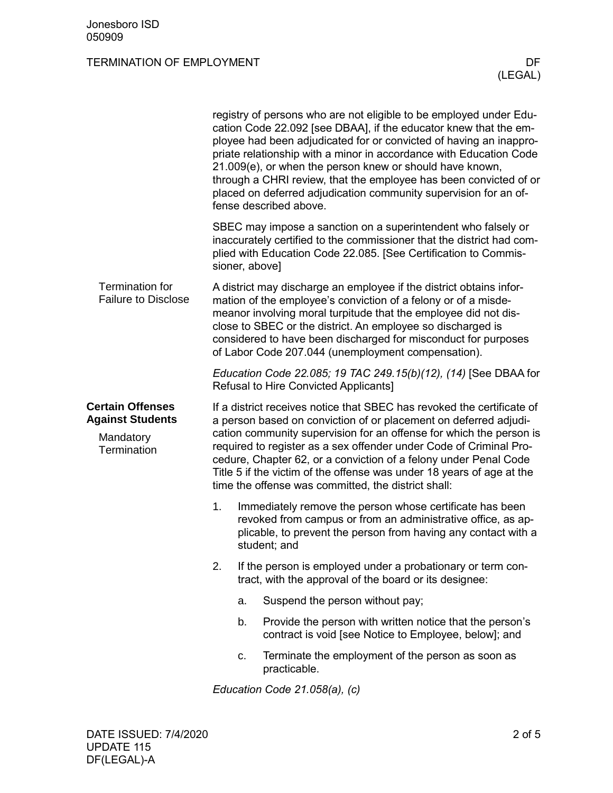|                                                                                | registry of persons who are not eligible to be employed under Edu-<br>cation Code 22.092 [see DBAA], if the educator knew that the em-<br>ployee had been adjudicated for or convicted of having an inappro-<br>priate relationship with a minor in accordance with Education Code<br>21.009(e), or when the person knew or should have known,<br>through a CHRI review, that the employee has been convicted of or<br>placed on deferred adjudication community supervision for an of-<br>fense described above. |                                                                                                                                                                                                                                                                                                                                                                                                 |                                                                                                                                                                                                                                                                                                                                                                                                                                                                                             |  |  |  |
|--------------------------------------------------------------------------------|-------------------------------------------------------------------------------------------------------------------------------------------------------------------------------------------------------------------------------------------------------------------------------------------------------------------------------------------------------------------------------------------------------------------------------------------------------------------------------------------------------------------|-------------------------------------------------------------------------------------------------------------------------------------------------------------------------------------------------------------------------------------------------------------------------------------------------------------------------------------------------------------------------------------------------|---------------------------------------------------------------------------------------------------------------------------------------------------------------------------------------------------------------------------------------------------------------------------------------------------------------------------------------------------------------------------------------------------------------------------------------------------------------------------------------------|--|--|--|
|                                                                                |                                                                                                                                                                                                                                                                                                                                                                                                                                                                                                                   | sioner, above]                                                                                                                                                                                                                                                                                                                                                                                  | SBEC may impose a sanction on a superintendent who falsely or<br>inaccurately certified to the commissioner that the district had com-<br>plied with Education Code 22.085. [See Certification to Commis-                                                                                                                                                                                                                                                                                   |  |  |  |
| <b>Termination for</b><br><b>Failure to Disclose</b>                           |                                                                                                                                                                                                                                                                                                                                                                                                                                                                                                                   | A district may discharge an employee if the district obtains infor-<br>mation of the employee's conviction of a felony or of a misde-<br>meanor involving moral turpitude that the employee did not dis-<br>close to SBEC or the district. An employee so discharged is<br>considered to have been discharged for misconduct for purposes<br>of Labor Code 207.044 (unemployment compensation). |                                                                                                                                                                                                                                                                                                                                                                                                                                                                                             |  |  |  |
|                                                                                | Education Code 22.085; 19 TAC 249.15(b)(12), (14) [See DBAA for<br><b>Refusal to Hire Convicted Applicants]</b>                                                                                                                                                                                                                                                                                                                                                                                                   |                                                                                                                                                                                                                                                                                                                                                                                                 |                                                                                                                                                                                                                                                                                                                                                                                                                                                                                             |  |  |  |
| <b>Certain Offenses</b><br><b>Against Students</b><br>Mandatory<br>Termination |                                                                                                                                                                                                                                                                                                                                                                                                                                                                                                                   |                                                                                                                                                                                                                                                                                                                                                                                                 | If a district receives notice that SBEC has revoked the certificate of<br>a person based on conviction of or placement on deferred adjudi-<br>cation community supervision for an offense for which the person is<br>required to register as a sex offender under Code of Criminal Pro-<br>cedure, Chapter 62, or a conviction of a felony under Penal Code<br>Title 5 if the victim of the offense was under 18 years of age at the<br>time the offense was committed, the district shall: |  |  |  |
|                                                                                | 1.                                                                                                                                                                                                                                                                                                                                                                                                                                                                                                                | Immediately remove the person whose certificate has been<br>revoked from campus or from an administrative office, as ap-<br>plicable, to prevent the person from having any contact with a<br>student; and                                                                                                                                                                                      |                                                                                                                                                                                                                                                                                                                                                                                                                                                                                             |  |  |  |
|                                                                                | 2.                                                                                                                                                                                                                                                                                                                                                                                                                                                                                                                |                                                                                                                                                                                                                                                                                                                                                                                                 | If the person is employed under a probationary or term con-<br>tract, with the approval of the board or its designee:                                                                                                                                                                                                                                                                                                                                                                       |  |  |  |
|                                                                                |                                                                                                                                                                                                                                                                                                                                                                                                                                                                                                                   | a.                                                                                                                                                                                                                                                                                                                                                                                              | Suspend the person without pay;                                                                                                                                                                                                                                                                                                                                                                                                                                                             |  |  |  |
|                                                                                |                                                                                                                                                                                                                                                                                                                                                                                                                                                                                                                   | b.                                                                                                                                                                                                                                                                                                                                                                                              | Provide the person with written notice that the person's<br>contract is void [see Notice to Employee, below]; and                                                                                                                                                                                                                                                                                                                                                                           |  |  |  |
|                                                                                |                                                                                                                                                                                                                                                                                                                                                                                                                                                                                                                   | c.                                                                                                                                                                                                                                                                                                                                                                                              | Terminate the employment of the person as soon as<br>practicable.                                                                                                                                                                                                                                                                                                                                                                                                                           |  |  |  |
|                                                                                | Education Code 21.058(a), (c)                                                                                                                                                                                                                                                                                                                                                                                                                                                                                     |                                                                                                                                                                                                                                                                                                                                                                                                 |                                                                                                                                                                                                                                                                                                                                                                                                                                                                                             |  |  |  |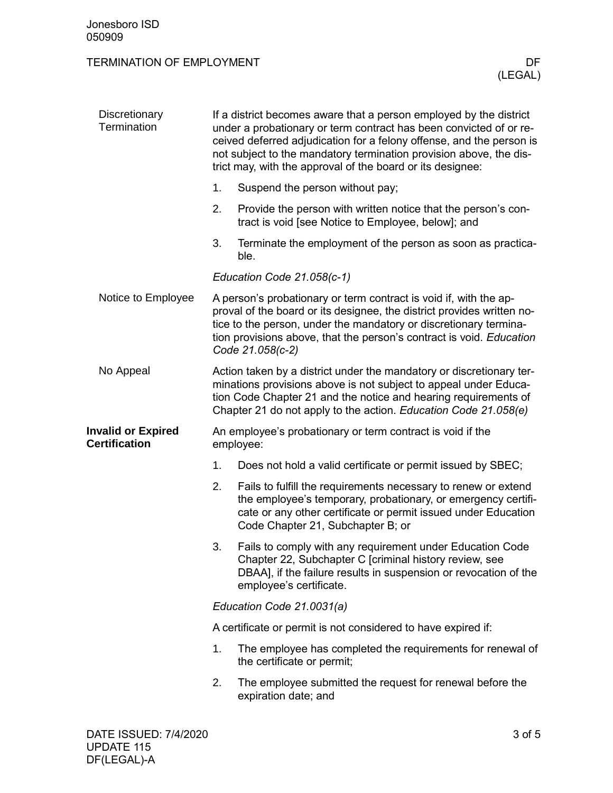| Discretionary<br>Termination                      |    | If a district becomes aware that a person employed by the district<br>under a probationary or term contract has been convicted of or re-<br>ceived deferred adjudication for a felony offense, and the person is<br>not subject to the mandatory termination provision above, the dis-<br>trict may, with the approval of the board or its designee: |  |  |  |
|---------------------------------------------------|----|------------------------------------------------------------------------------------------------------------------------------------------------------------------------------------------------------------------------------------------------------------------------------------------------------------------------------------------------------|--|--|--|
|                                                   | 1. | Suspend the person without pay;                                                                                                                                                                                                                                                                                                                      |  |  |  |
|                                                   | 2. | Provide the person with written notice that the person's con-<br>tract is void [see Notice to Employee, below]; and                                                                                                                                                                                                                                  |  |  |  |
|                                                   | 3. | Terminate the employment of the person as soon as practica-<br>ble.                                                                                                                                                                                                                                                                                  |  |  |  |
|                                                   |    | Education Code 21.058(c-1)                                                                                                                                                                                                                                                                                                                           |  |  |  |
| Notice to Employee                                |    | A person's probationary or term contract is void if, with the ap-<br>proval of the board or its designee, the district provides written no-<br>tice to the person, under the mandatory or discretionary termina-<br>tion provisions above, that the person's contract is void. Education<br>Code 21.058(c-2)                                         |  |  |  |
| No Appeal                                         |    | Action taken by a district under the mandatory or discretionary ter-<br>minations provisions above is not subject to appeal under Educa-<br>tion Code Chapter 21 and the notice and hearing requirements of<br>Chapter 21 do not apply to the action. Education Code 21.058(e)                                                                       |  |  |  |
| <b>Invalid or Expired</b><br><b>Certification</b> |    | An employee's probationary or term contract is void if the<br>employee:                                                                                                                                                                                                                                                                              |  |  |  |
|                                                   | 1. | Does not hold a valid certificate or permit issued by SBEC;                                                                                                                                                                                                                                                                                          |  |  |  |
|                                                   | 2. | Fails to fulfill the requirements necessary to renew or extend<br>the employee's temporary, probationary, or emergency certifi-<br>cate or any other certificate or permit issued under Education<br>Code Chapter 21, Subchapter B; or                                                                                                               |  |  |  |
|                                                   | 3. | Fails to comply with any requirement under Education Code<br>Chapter 22, Subchapter C [criminal history review, see<br>DBAA], if the failure results in suspension or revocation of the<br>employee's certificate.                                                                                                                                   |  |  |  |
|                                                   |    | Education Code 21.0031(a)                                                                                                                                                                                                                                                                                                                            |  |  |  |
|                                                   |    | A certificate or permit is not considered to have expired if:                                                                                                                                                                                                                                                                                        |  |  |  |
|                                                   | 1. | The employee has completed the requirements for renewal of<br>the certificate or permit;                                                                                                                                                                                                                                                             |  |  |  |
|                                                   | 2. | The employee submitted the request for renewal before the<br>expiration date; and                                                                                                                                                                                                                                                                    |  |  |  |
|                                                   |    |                                                                                                                                                                                                                                                                                                                                                      |  |  |  |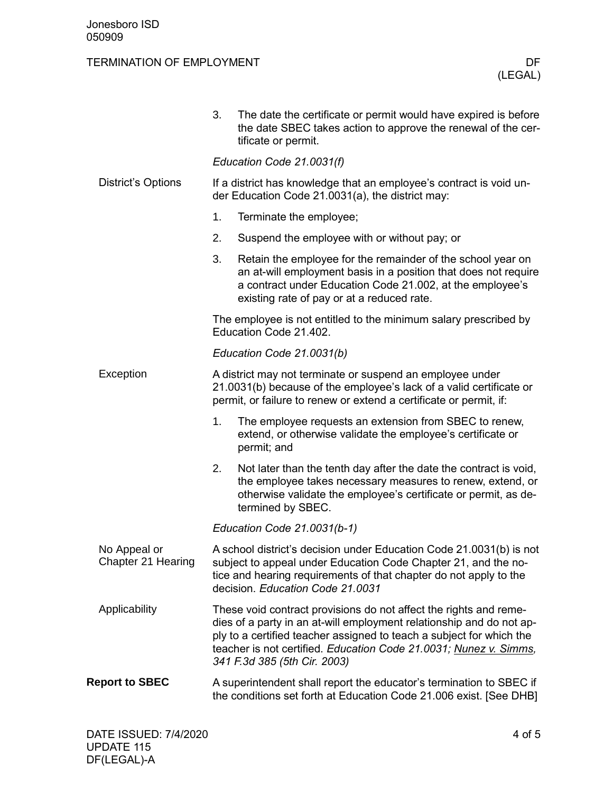|                                    | 3.                                                                                                                                                                                                     | The date the certificate or permit would have expired is before<br>the date SBEC takes action to approve the renewal of the cer-<br>tificate or permit.                                                                                                                                                                |  |  |
|------------------------------------|--------------------------------------------------------------------------------------------------------------------------------------------------------------------------------------------------------|------------------------------------------------------------------------------------------------------------------------------------------------------------------------------------------------------------------------------------------------------------------------------------------------------------------------|--|--|
|                                    |                                                                                                                                                                                                        | Education Code 21.0031(f)                                                                                                                                                                                                                                                                                              |  |  |
| <b>District's Options</b>          | If a district has knowledge that an employee's contract is void un-<br>der Education Code 21.0031(a), the district may:                                                                                |                                                                                                                                                                                                                                                                                                                        |  |  |
|                                    | 1.                                                                                                                                                                                                     | Terminate the employee;                                                                                                                                                                                                                                                                                                |  |  |
|                                    | 2.                                                                                                                                                                                                     | Suspend the employee with or without pay; or                                                                                                                                                                                                                                                                           |  |  |
|                                    | 3.                                                                                                                                                                                                     | Retain the employee for the remainder of the school year on<br>an at-will employment basis in a position that does not require<br>a contract under Education Code 21.002, at the employee's<br>existing rate of pay or at a reduced rate.                                                                              |  |  |
|                                    |                                                                                                                                                                                                        | The employee is not entitled to the minimum salary prescribed by<br>Education Code 21.402.                                                                                                                                                                                                                             |  |  |
|                                    | Education Code 21.0031(b)                                                                                                                                                                              |                                                                                                                                                                                                                                                                                                                        |  |  |
| Exception                          | A district may not terminate or suspend an employee under<br>21.0031(b) because of the employee's lack of a valid certificate or<br>permit, or failure to renew or extend a certificate or permit, if: |                                                                                                                                                                                                                                                                                                                        |  |  |
|                                    | 1.                                                                                                                                                                                                     | The employee requests an extension from SBEC to renew,<br>extend, or otherwise validate the employee's certificate or<br>permit; and                                                                                                                                                                                   |  |  |
|                                    | 2.                                                                                                                                                                                                     | Not later than the tenth day after the date the contract is void,<br>the employee takes necessary measures to renew, extend, or<br>otherwise validate the employee's certificate or permit, as de-<br>termined by SBEC.                                                                                                |  |  |
|                                    |                                                                                                                                                                                                        | Education Code 21.0031(b-1)                                                                                                                                                                                                                                                                                            |  |  |
| No Appeal or<br>Chapter 21 Hearing |                                                                                                                                                                                                        | A school district's decision under Education Code 21.0031(b) is not<br>subject to appeal under Education Code Chapter 21, and the no-<br>tice and hearing requirements of that chapter do not apply to the<br>decision. Education Code 21.0031                                                                         |  |  |
| Applicability                      |                                                                                                                                                                                                        | These void contract provisions do not affect the rights and reme-<br>dies of a party in an at-will employment relationship and do not ap-<br>ply to a certified teacher assigned to teach a subject for which the<br>teacher is not certified. Education Code 21.0031; Nunez v. Simms,<br>341 F.3d 385 (5th Cir. 2003) |  |  |
| <b>Report to SBEC</b>              |                                                                                                                                                                                                        | A superintendent shall report the educator's termination to SBEC if<br>the conditions set forth at Education Code 21.006 exist. [See DHB]                                                                                                                                                                              |  |  |